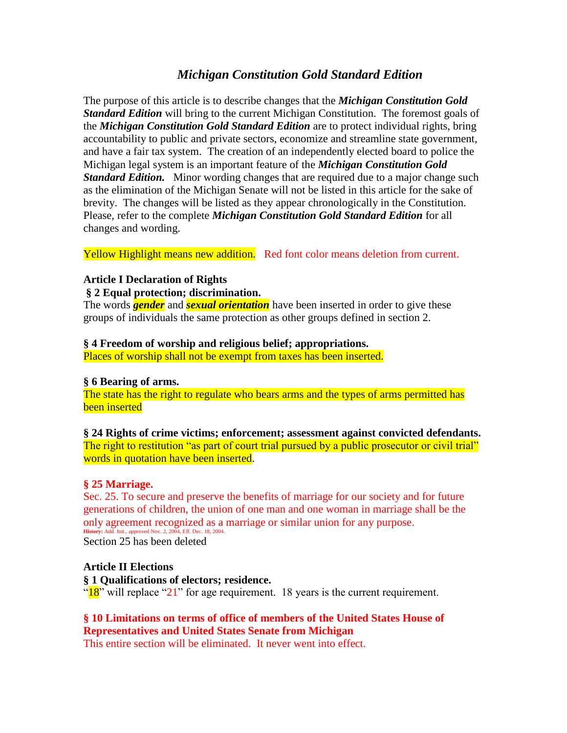# *Michigan Constitution Gold Standard Edition*

The purpose of this article is to describe changes that the *Michigan Constitution Gold Standard Edition* will bring to the current Michigan Constitution. The foremost goals of the *Michigan Constitution Gold Standard Edition* are to protect individual rights, bring accountability to public and private sectors, economize and streamline state government, and have a fair tax system. The creation of an independently elected board to police the Michigan legal system is an important feature of the *Michigan Constitution Gold Standard Edition.* Minor wording changes that are required due to a major change such as the elimination of the Michigan Senate will not be listed in this article for the sake of brevity. The changes will be listed as they appear chronologically in the Constitution. Please, refer to the complete *Michigan Constitution Gold Standard Edition* for all changes and wording.

Yellow Highlight means new addition. Red font color means deletion from current.

## **Article I Declaration of Rights**

### **§ 2 Equal protection; discrimination.**

The words *gender* and *sexual orientation* have been inserted in order to give these groups of individuals the same protection as other groups defined in section 2.

### **§ 4 Freedom of worship and religious belief; appropriations.**

Places of worship shall not be exempt from taxes has been inserted.

### **§ 6 Bearing of arms.**

The state has the right to regulate who bears arms and the types of arms permitted has been inserted

**§ 24 Rights of crime victims; enforcement; assessment against convicted defendants.** The right to restitution "as part of court trial pursued by a public prosecutor or civil trial" words in quotation have been inserted.

# **§ 25 Marriage.**

Sec. 25. To secure and preserve the benefits of marriage for our society and for future generations of children, the union of one man and one woman in marriage shall be the only agreement recognized as a marriage or similar union for any purpose. **History:** Add. Init., approved Nov. 2, 2004, Eff. Dec. 18, 2004. Section 25 has been deleted

### **Article II Elections**

**§ 1 Qualifications of electors; residence.** " $18$ " will replace "21" for age requirement. 18 years is the current requirement.

# **§ 10 Limitations on terms of office of members of the United States House of Representatives and United States Senate from Michigan**

This entire section will be eliminated. It never went into effect.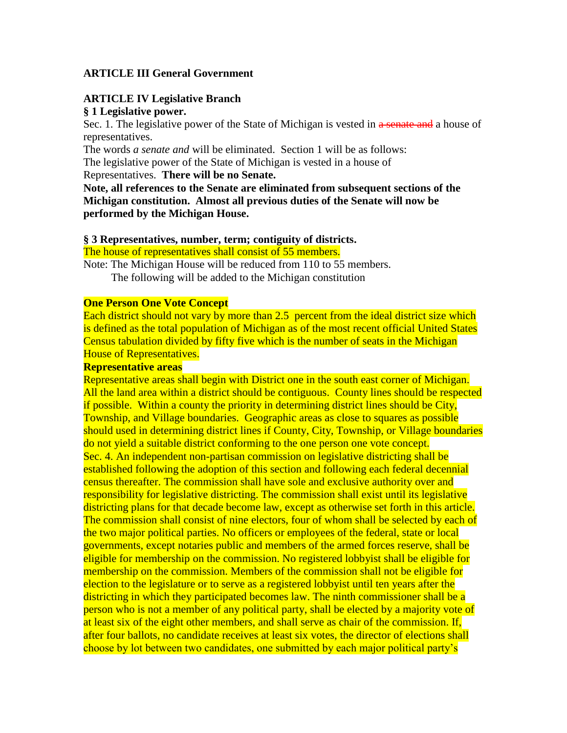## **ARTICLE III General Government**

### **ARTICLE IV Legislative Branch § 1 Legislative power.**

Sec. 1. The legislative power of the State of Michigan is vested in a senate and a house of representatives.

The words *a senate and* will be eliminated. Section 1 will be as follows: The legislative power of the State of Michigan is vested in a house of

Representatives. **There will be no Senate.**

**Note, all references to the Senate are eliminated from subsequent sections of the Michigan constitution. Almost all previous duties of the Senate will now be performed by the Michigan House.**

### **§ 3 Representatives, number, term; contiguity of districts.**

The house of representatives shall consist of 55 members.

Note: The Michigan House will be reduced from 110 to 55 members. The following will be added to the Michigan constitution

### **One Person One Vote Concept**

Each district should not vary by more than 2.5 percent from the ideal district size which is defined as the total population of Michigan as of the most recent official United States Census tabulation divided by fifty five which is the number of seats in the Michigan House of Representatives.

### **Representative areas**

Representative areas shall begin with District one in the south east corner of Michigan. All the land area within a district should be contiguous. County lines should be respected if possible. Within a county the priority in determining district lines should be City, Township, and Village boundaries. Geographic areas as close to squares as possible should used in determining district lines if County, City, Township, or Village boundaries do not yield a suitable district conforming to the one person one vote concept. Sec. 4. An independent non-partisan commission on legislative districting shall be established following the adoption of this section and following each federal decennial census thereafter. The commission shall have sole and exclusive authority over and responsibility for legislative districting. The commission shall exist until its legislative districting plans for that decade become law, except as otherwise set forth in this article. The commission shall consist of nine electors, four of whom shall be selected by each of the two major political parties. No officers or employees of the federal, state or local governments, except notaries public and members of the armed forces reserve, shall be eligible for membership on the commission. No registered lobbyist shall be eligible for membership on the commission. Members of the commission shall not be eligible for election to the legislature or to serve as a registered lobbyist until ten years after the districting in which they participated becomes law. The ninth commissioner shall be a person who is not a member of any political party, shall be elected by a majority vote of at least six of the eight other members, and shall serve as chair of the commission. If, after four ballots, no candidate receives at least six votes, the director of elections shall choose by lot between two candidates, one submitted by each major political party's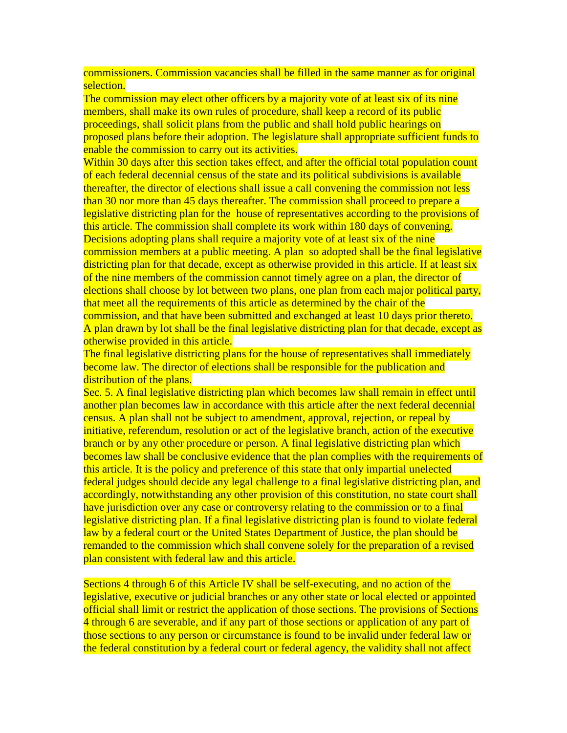commissioners. Commission vacancies shall be filled in the same manner as for original selection.

The commission may elect other officers by a majority vote of at least six of its nine members, shall make its own rules of procedure, shall keep a record of its public proceedings, shall solicit plans from the public and shall hold public hearings on proposed plans before their adoption. The legislature shall appropriate sufficient funds to enable the commission to carry out its activities.

Within 30 days after this section takes effect, and after the official total population count of each federal decennial census of the state and its political subdivisions is available thereafter, the director of elections shall issue a call convening the commission not less than 30 nor more than 45 days thereafter. The commission shall proceed to prepare a legislative districting plan for the house of representatives according to the provisions of this article. The commission shall complete its work within 180 days of convening. Decisions adopting plans shall require a majority vote of at least six of the nine commission members at a public meeting. A plan so adopted shall be the final legislative districting plan for that decade, except as otherwise provided in this article. If at least six of the nine members of the commission cannot timely agree on a plan, the director of elections shall choose by lot between two plans, one plan from each major political party, that meet all the requirements of this article as determined by the chair of the commission, and that have been submitted and exchanged at least 10 days prior thereto. A plan drawn by lot shall be the final legislative districting plan for that decade, except as otherwise provided in this article.

The final legislative districting plans for the house of representatives shall immediately become law. The director of elections shall be responsible for the publication and distribution of the plans.

Sec. 5. A final legislative districting plan which becomes law shall remain in effect until another plan becomes law in accordance with this article after the next federal decennial census. A plan shall not be subject to amendment, approval, rejection, or repeal by initiative, referendum, resolution or act of the legislative branch, action of the executive branch or by any other procedure or person. A final legislative districting plan which becomes law shall be conclusive evidence that the plan complies with the requirements of this article. It is the policy and preference of this state that only impartial unelected federal judges should decide any legal challenge to a final legislative districting plan, and accordingly, notwithstanding any other provision of this constitution, no state court shall have jurisdiction over any case or controversy relating to the commission or to a final legislative districting plan. If a final legislative districting plan is found to violate federal law by a federal court or the United States Department of Justice, the plan should be remanded to the commission which shall convene solely for the preparation of a revised plan consistent with federal law and this article.

Sections 4 through 6 of this Article IV shall be self-executing, and no action of the legislative, executive or judicial branches or any other state or local elected or appointed official shall limit or restrict the application of those sections. The provisions of Sections 4 through 6 are severable, and if any part of those sections or application of any part of those sections to any person or circumstance is found to be invalid under federal law or the federal constitution by a federal court or federal agency, the validity shall not affect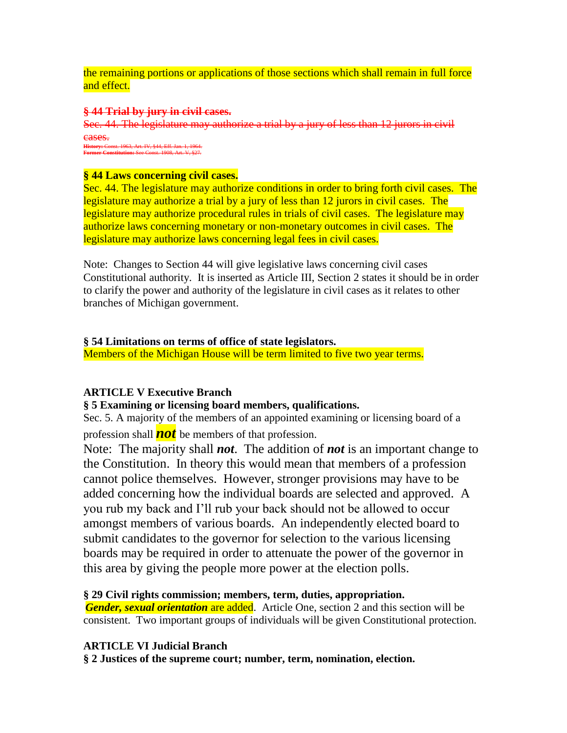the remaining portions or applications of those sections which shall remain in full force and effect.

### **§ 44 Trial by jury in civil cases.**

Sec. 44. The legislature may authorize a trial by a jury of less than 12 jurors in civil cases. **History:** Const. 1963, Art. IV, §44, Eff. Jan. 1, 1964.

**Former Constitution:** See Const. 1908, Art. V, §27.

### **§ 44 Laws concerning civil cases.**

Sec. 44. The legislature may authorize conditions in order to bring forth civil cases. The legislature may authorize a trial by a jury of less than 12 jurors in civil cases. The legislature may authorize procedural rules in trials of civil cases. The legislature may authorize laws concerning monetary or non-monetary outcomes in civil cases. The legislature may authorize laws concerning legal fees in civil cases.

Note: Changes to Section 44 will give legislative laws concerning civil cases Constitutional authority. It is inserted as Article III, Section 2 states it should be in order to clarify the power and authority of the legislature in civil cases as it relates to other branches of Michigan government.

## **§ 54 Limitations on terms of office of state legislators.**

Members of the Michigan House will be term limited to five two year terms.

### **ARTICLE V Executive Branch**

### **§ 5 Examining or licensing board members, qualifications.**

Sec. 5. A majority of the members of an appointed examining or licensing board of a profession shall *not* be members of that profession.

Note: The majority shall *not*. The addition of *not* is an important change to the Constitution. In theory this would mean that members of a profession cannot police themselves. However, stronger provisions may have to be added concerning how the individual boards are selected and approved. A you rub my back and I'll rub your back should not be allowed to occur amongst members of various boards. An independently elected board to submit candidates to the governor for selection to the various licensing boards may be required in order to attenuate the power of the governor in this area by giving the people more power at the election polls.

### **§ 29 Civil rights commission; members, term, duties, appropriation.**

*Gender, sexual orientation* are added. Article One, section 2 and this section will be consistent. Two important groups of individuals will be given Constitutional protection.

# **ARTICLE VI Judicial Branch**

**§ 2 Justices of the supreme court; number, term, nomination, election.**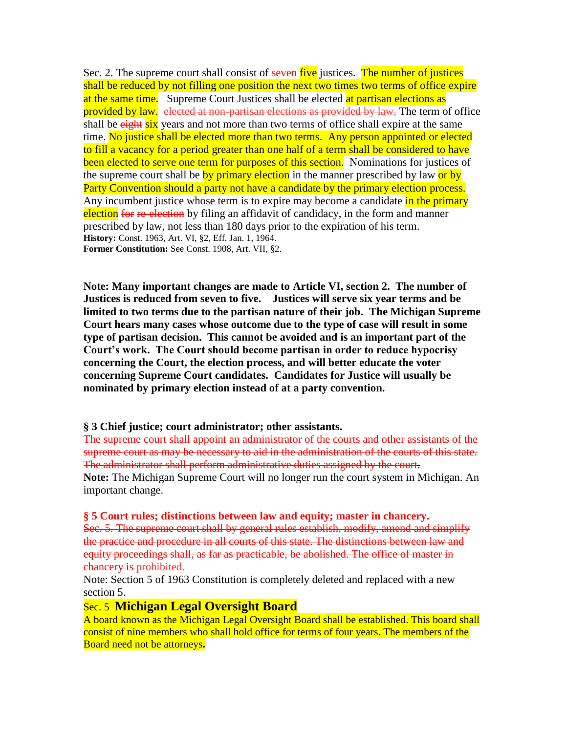Sec. 2. The supreme court shall consist of seven five justices. The number of justices shall be reduced by not filling one position the next two times two terms of office expire at the same time. Supreme Court Justices shall be elected at partisan elections as provided by law. elected at non-partisan elections as provided by law. The term of office shall be eight six years and not more than two terms of office shall expire at the same time. No justice shall be elected more than two terms. Any person appointed or elected to fill a vacancy for a period greater than one half of a term shall be considered to have been elected to serve one term for purposes of this section. Nominations for justices of the supreme court shall be by primary election in the manner prescribed by law or by Party Convention should a party not have a candidate by the primary election process. Any incumbent justice whose term is to expire may become a candidate in the primary election for re-election by filing an affidavit of candidacy, in the form and manner prescribed by law, not less than 180 days prior to the expiration of his term. **History:** Const. 1963, Art. VI, §2, Eff. Jan. 1, 1964. **Former Constitution:** See Const. 1908, Art. VII, §2.

**Note: Many important changes are made to Article VI, section 2. The number of Justices is reduced from seven to five. Justices will serve six year terms and be limited to two terms due to the partisan nature of their job. The Michigan Supreme Court hears many cases whose outcome due to the type of case will result in some type of partisan decision. This cannot be avoided and is an important part of the Court's work. The Court should become partisan in order to reduce hypocrisy concerning the Court, the election process, and will better educate the voter concerning Supreme Court candidates. Candidates for Justice will usually be nominated by primary election instead of at a party convention.** 

### **§ 3 Chief justice; court administrator; other assistants.**

The supreme court shall appoint an administrator of the courts and other assistants of the supreme court as may be necessary to aid in the administration of the courts of this state. The administrator shall perform administrative duties assigned by the court. **Note:** The Michigan Supreme Court will no longer run the court system in Michigan. An important change.

#### **§ 5 Court rules; distinctions between law and equity; master in chancery.**

Sec. 5. The supreme court shall by general rules establish, modify, amend and simplify the practice and procedure in all courts of this state. The distinctions between law and equity proceedings shall, as far as practicable, be abolished. The office of master in chancery is prohibited.

Note: Section 5 of 1963 Constitution is completely deleted and replaced with a new section 5.

### Sec. 5 **Michigan Legal Oversight Board**

A board known as the Michigan Legal Oversight Board shall be established. This board shall consist of nine members who shall hold office for terms of four years. The members of the Board need not be attorneys**.**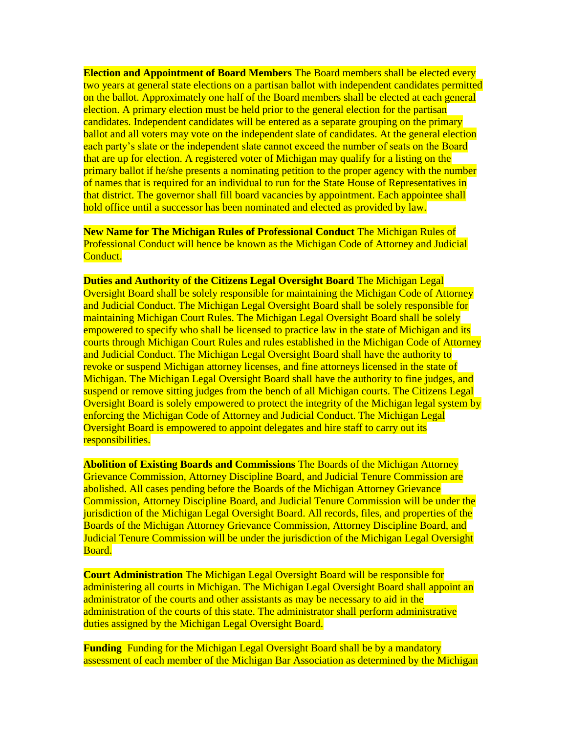**Election and Appointment of Board Members** The Board members shall be elected every two years at general state elections on a partisan ballot with independent candidates permitted on the ballot. Approximately one half of the Board members shall be elected at each general election. A primary election must be held prior to the general election for the partisan candidates. Independent candidates will be entered as a separate grouping on the primary ballot and all voters may vote on the independent slate of candidates. At the general election each party's slate or the independent slate cannot exceed the number of seats on the Board that are up for election. A registered voter of Michigan may qualify for a listing on the primary ballot if he/she presents a nominating petition to the proper agency with the number of names that is required for an individual to run for the State House of Representatives in that district. The governor shall fill board vacancies by appointment. Each appointee shall hold office until a successor has been nominated and elected as provided by law.

**New Name for The Michigan Rules of Professional Conduct** The Michigan Rules of Professional Conduct will hence be known as the Michigan Code of Attorney and Judicial Conduct.

**Duties and Authority of the Citizens Legal Oversight Board** The Michigan Legal Oversight Board shall be solely responsible for maintaining the Michigan Code of Attorney and Judicial Conduct. The Michigan Legal Oversight Board shall be solely responsible for maintaining Michigan Court Rules. The Michigan Legal Oversight Board shall be solely empowered to specify who shall be licensed to practice law in the state of Michigan and its courts through Michigan Court Rules and rules established in the Michigan Code of Attorney and Judicial Conduct. The Michigan Legal Oversight Board shall have the authority to revoke or suspend Michigan attorney licenses, and fine attorneys licensed in the state of Michigan. The Michigan Legal Oversight Board shall have the authority to fine judges, and suspend or remove sitting judges from the bench of all Michigan courts. The Citizens Legal Oversight Board is solely empowered to protect the integrity of the Michigan legal system by enforcing the Michigan Code of Attorney and Judicial Conduct. The Michigan Legal Oversight Board is empowered to appoint delegates and hire staff to carry out its responsibilities.

**Abolition of Existing Boards and Commissions** The Boards of the Michigan Attorney Grievance Commission, Attorney Discipline Board, and Judicial Tenure Commission are abolished. All cases pending before the Boards of the Michigan Attorney Grievance Commission, Attorney Discipline Board, and Judicial Tenure Commission will be under the jurisdiction of the Michigan Legal Oversight Board. All records, files, and properties of the Boards of the Michigan Attorney Grievance Commission, Attorney Discipline Board, and Judicial Tenure Commission will be under the jurisdiction of the Michigan Legal Oversight Board.

**Court Administration** The Michigan Legal Oversight Board will be responsible for administering all courts in Michigan. The Michigan Legal Oversight Board shall appoint an administrator of the courts and other assistants as may be necessary to aid in the administration of the courts of this state. The administrator shall perform administrative duties assigned by the Michigan Legal Oversight Board.

**Funding** Funding for the Michigan Legal Oversight Board shall be by a mandatory assessment of each member of the Michigan Bar Association as determined by the Michigan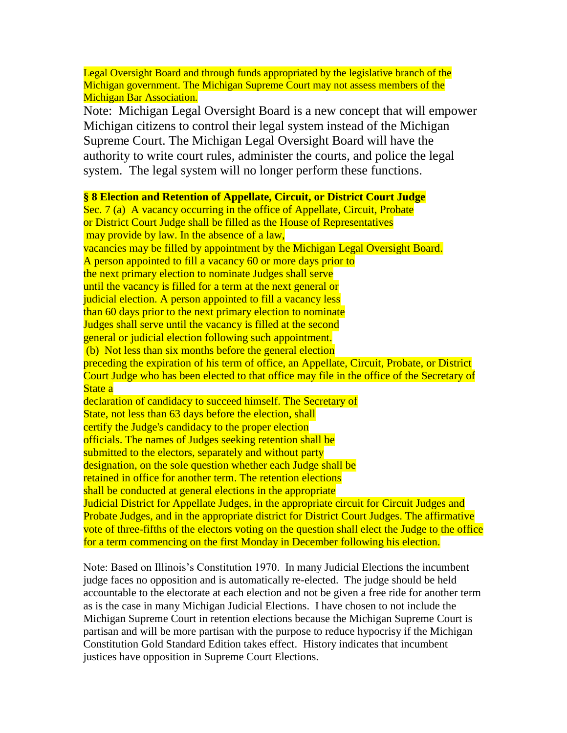Legal Oversight Board and through funds appropriated by the legislative branch of the Michigan government. The Michigan Supreme Court may not assess members of the **Michigan Bar Association.** Note: Michigan Legal Oversight Board is a new concept that will empower Michigan citizens to control their legal system instead of the Michigan Supreme Court. The Michigan Legal Oversight Board will have the authority to write court rules, administer the courts, and police the legal system. The legal system will no longer perform these functions. **§ 8 Election and Retention of Appellate, Circuit, or District Court Judge** Sec. 7 (a) A vacancy occurring in the office of Appellate, Circuit, Probate or District Court Judge shall be filled as the House of Representatives may provide by law. In the absence of a law, vacancies may be filled by appointment by the Michigan Legal Oversight Board. A person appointed to fill a vacancy 60 or more days prior to the next primary election to nominate Judges shall serve until the vacancy is filled for a term at the next general or judicial election. A person appointed to fill a vacancy less than 60 days prior to the next primary election to nominate Judges shall serve until the vacancy is filled at the second general or judicial election following such appointment. (b) Not less than six months before the general election preceding the expiration of his term of office, an Appellate, Circuit, Probate, or District Court Judge who has been elected to that office may file in the office of the Secretary of State a declaration of candidacy to succeed himself. The Secretary of State, not less than 63 days before the election, shall certify the Judge's candidacy to the proper election officials. The names of Judges seeking retention shall be submitted to the electors, separately and without party designation, on the sole question whether each Judge shall be retained in office for another term. The retention elections shall be conducted at general elections in the appropriate Judicial District for Appellate Judges, in the appropriate circuit for Circuit Judges and Probate Judges, and in the appropriate district for District Court Judges. The affirmative vote of three-fifths of the electors voting on the question shall elect the Judge to the office for a term commencing on the first Monday in December following his election.

Note: Based on Illinois's Constitution 1970. In many Judicial Elections the incumbent judge faces no opposition and is automatically re-elected. The judge should be held accountable to the electorate at each election and not be given a free ride for another term as is the case in many Michigan Judicial Elections. I have chosen to not include the Michigan Supreme Court in retention elections because the Michigan Supreme Court is partisan and will be more partisan with the purpose to reduce hypocrisy if the Michigan Constitution Gold Standard Edition takes effect. History indicates that incumbent justices have opposition in Supreme Court Elections.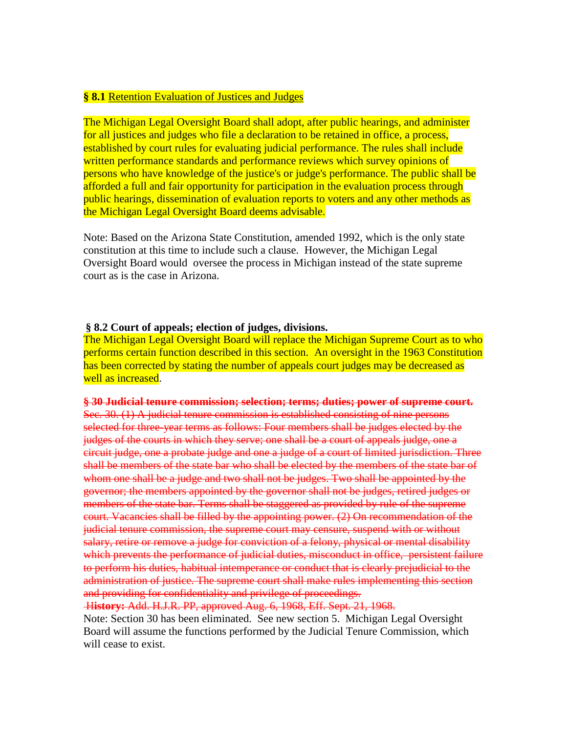### **§ 8.1** Retention Evaluation of Justices and Judges

The Michigan Legal Oversight Board shall adopt, after public hearings, and administer for all justices and judges who file a declaration to be retained in office, a process, established by court rules for evaluating judicial performance. The rules shall include written performance standards and performance reviews which survey opinions of persons who have knowledge of the justice's or judge's performance. The public shall be afforded a full and fair opportunity for participation in the evaluation process through public hearings, dissemination of evaluation reports to voters and any other methods as the Michigan Legal Oversight Board deems advisable.

Note: Based on the Arizona State Constitution, amended 1992, which is the only state constitution at this time to include such a clause. However, the Michigan Legal Oversight Board would oversee the process in Michigan instead of the state supreme court as is the case in Arizona.

#### **§ 8.2 Court of appeals; election of judges, divisions.**

The Michigan Legal Oversight Board will replace the Michigan Supreme Court as to who performs certain function described in this section. An oversight in the 1963 Constitution has been corrected by stating the number of appeals court judges may be decreased as well as increased.

#### **§ 30 Judicial tenure commission; selection; terms; duties; power of supreme court.**

Sec. 30. (1) A judicial tenure commission is established consisting of nine persons selected for three-year terms as follows: Four members shall be judges elected by the judges of the courts in which they serve; one shall be a court of appeals judge, one a circuit judge, one a probate judge and one a judge of a court of limited jurisdiction. Three shall be members of the state bar who shall be elected by the members of the state bar of whom one shall be a judge and two shall not be judges. Two shall be appointed by the governor; the members appointed by the governor shall not be judges, retired judges or members of the state bar. Terms shall be staggered as provided by rule of the supreme court. Vacancies shall be filled by the appointing power. (2) On recommendation of the judicial tenure commission, the supreme court may censure, suspend with or without salary, retire or remove a judge for conviction of a felony, physical or mental disability which prevents the performance of judicial duties, misconduct in office, persistent failure to perform his duties, habitual intemperance or conduct that is clearly prejudicial to the administration of justice. The supreme court shall make rules implementing this section and providing for confidentiality and privilege of proceedings.

H**istory:** Add. H.J.R. PP, approved Aug. 6, 1968, Eff. Sept. 21, 1968.

Note: Section 30 has been eliminated. See new section 5. Michigan Legal Oversight Board will assume the functions performed by the Judicial Tenure Commission, which will cease to exist.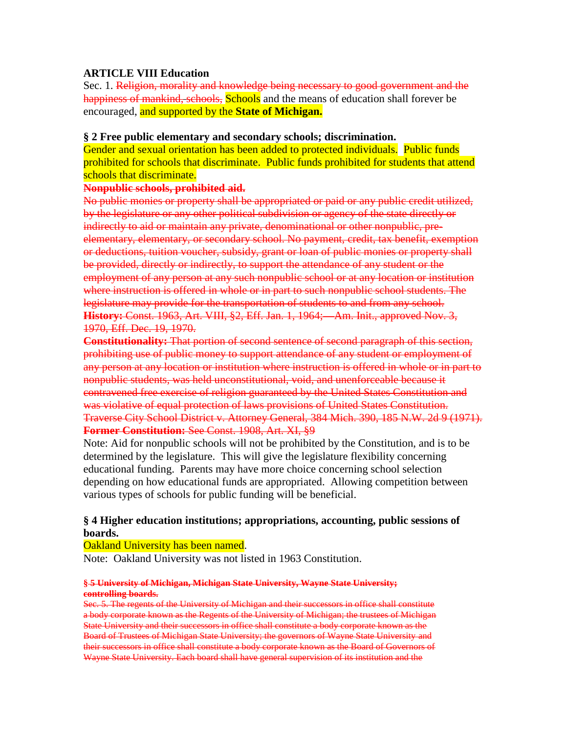### **ARTICLE VIII Education**

Sec. 1. Religion, morality and knowledge being necessary to good government and the happiness of mankind, schools, Schools and the means of education shall forever be encouraged, and supported by the **State of Michigan.**

### **§ 2 Free public elementary and secondary schools; discrimination.**

Gender and sexual orientation has been added to protected individuals. Public funds prohibited for schools that discriminate. Public funds prohibited for students that attend schools that discriminate.

### **Nonpublic schools, prohibited aid.**

No public monies or property shall be appropriated or paid or any public credit utilized, by the legislature or any other political subdivision or agency of the state directly or indirectly to aid or maintain any private, denominational or other nonpublic, preelementary, elementary, or secondary school. No payment, credit, tax benefit, exemption or deductions, tuition voucher, subsidy, grant or loan of public monies or property shall be provided, directly or indirectly, to support the attendance of any student or the employment of any person at any such nonpublic school or at any location or institution where instruction is offered in whole or in part to such nonpublic school students. The legislature may provide for the transportation of students to and from any school. **History:** Const. 1963, Art. VIII, §2, Eff. Jan. 1, 1964;—Am. Init., approved Nov. 3, 1970, Eff. Dec. 19, 1970.

**Constitutionality:** That portion of second sentence of second paragraph of this section, prohibiting use of public money to support attendance of any student or employment of any person at any location or institution where instruction is offered in whole or in part to nonpublic students, was held unconstitutional, void, and unenforceable because it contravened free exercise of religion guaranteed by the United States Constitution and was violative of equal protection of laws provisions of United States Constitution. Traverse City School District v. Attorney General, 384 Mich. 390, 185 N.W. 2d 9 (1971). **Former Constitution:** See Const. 1908, Art. XI, §9

Note: Aid for nonpublic schools will not be prohibited by the Constitution, and is to be determined by the legislature. This will give the legislature flexibility concerning educational funding. Parents may have more choice concerning school selection depending on how educational funds are appropriated. Allowing competition between various types of schools for public funding will be beneficial.

### **§ 4 Higher education institutions; appropriations, accounting, public sessions of boards.**

### Oakland University has been named.

Note: Oakland University was not listed in 1963 Constitution.

#### **§ 5 University of Michigan, Michigan State University, Wayne State University; controlling boards.**

Sec. 5. The regents of the University of Michigan and their successors in office shall constitute a body corporate known as the Regents of the University of Michigan; the trustees of Michigan State University and their successors in office shall constitute a body corporate known as the Board of Trustees of Michigan State University; the governors of Wayne State University and their successors in office shall constitute a body corporate known as the Board of Governors of Wayne State University. Each board shall have general supervision of its institution and the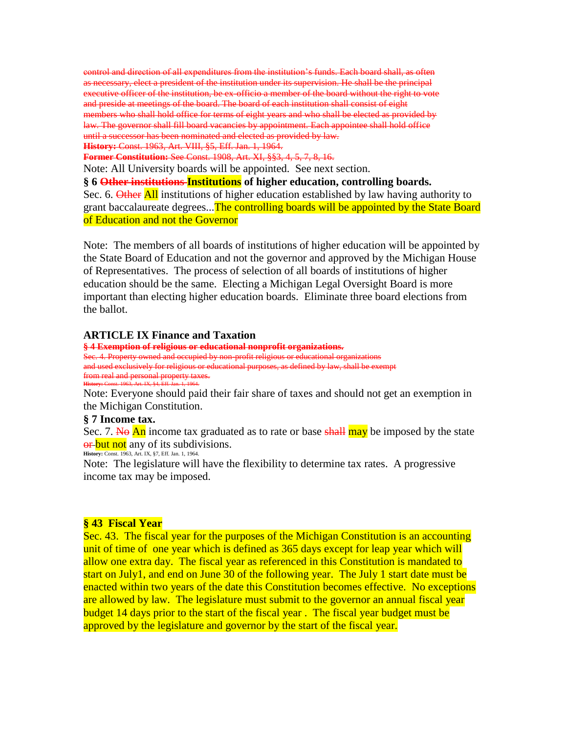control and direction of all expenditures from the institution's funds. Each board shall, as often as necessary, elect a president of the institution under its supervision. He shall be the principal executive officer of the institution, be ex-officio a member of the board without the right to vote and preside at meetings of the board. The board of each institution shall consist of eight members who shall hold office for terms of eight years and who shall be elected as provided by law. The governor shall fill board vacancies by appointment. Each appointee shall hold office until a successor has been nominated and elected as provided by law. **History:** Const. 1963, Art. VIII, §5, Eff. Jan. 1, 1964.

**Former Constitution:** See Const. 1908, Art. XI, §§3, 4, 5, 7, 8, 16.

Note: All University boards will be appointed. See next section.

**§ 6 Other institutions Institutions of higher education, controlling boards.** Sec. 6. Other All institutions of higher education established by law having authority to grant baccalaureate degrees...The controlling boards will be appointed by the State Board of Education and not the Governor

Note: The members of all boards of institutions of higher education will be appointed by the State Board of Education and not the governor and approved by the Michigan House of Representatives. The process of selection of all boards of institutions of higher education should be the same. Electing a Michigan Legal Oversight Board is more important than electing higher education boards. Eliminate three board elections from the ballot.

#### **ARTICLE IX Finance and Taxation**

**§ 4 Exemption of religious or educational nonprofit organizations.** Sec. 4. Property owned and occupied by non-profit religious or educational organizations and used exclusively for religious or educational purposes, as defined by law, shall be exempt from real and personal property taxes. **History:** Const. 1963, Art. IX, §4, Eff. Jan. 1, 1964.

Note: Everyone should paid their fair share of taxes and should not get an exemption in the Michigan Constitution.

#### **§ 7 Income tax.**

Sec. 7. No An income tax graduated as to rate or base shall may be imposed by the state or but not any of its subdivisions. **History:** Const. 1963, Art. IX, §7, Eff. Jan. 1, 1964.

Note: The legislature will have the flexibility to determine tax rates. A progressive income tax may be imposed.

#### **§ 43 Fiscal Year**

Sec. 43. The fiscal year for the purposes of the Michigan Constitution is an accounting unit of time of one year which is defined as 365 days except for leap year which will allow one extra day. The fiscal year as referenced in this Constitution is mandated to start on July1, and end on June 30 of the following year. The July 1 start date must be enacted within two years of the date this Constitution becomes effective. No exceptions are allowed by law. The legislature must submit to the governor an annual fiscal year budget 14 days prior to the start of the fiscal year . The fiscal year budget must be approved by the legislature and governor by the start of the fiscal year.